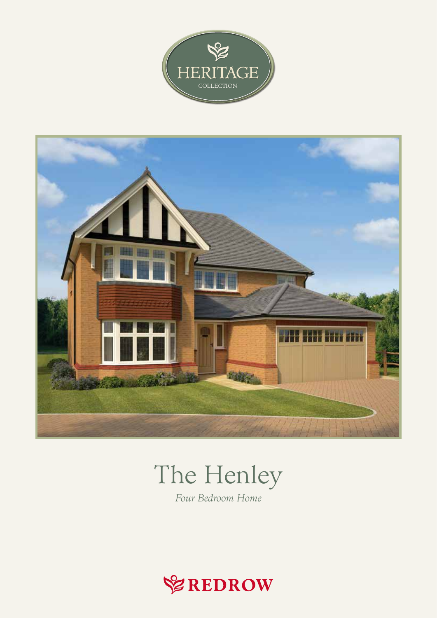



## The Henley

Four Bedroom Home